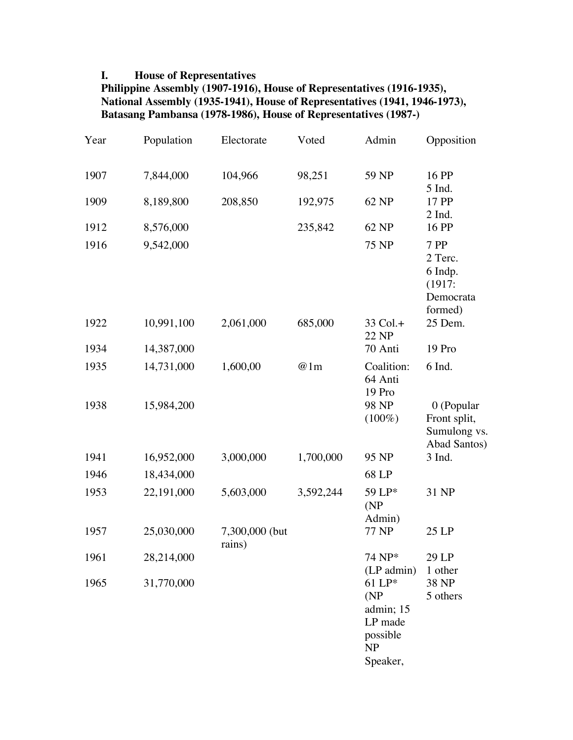## **I. House of Representatives**

## **Philippine Assembly (1907-1916), House of Representatives (1916-1935), National Assembly (1935-1941), House of Representatives (1941, 1946-1973), Batasang Pambansa (1978-1986), House of Representatives (1987-)**

| Year | Population | Electorate               | Voted     | Admin                                                                | Opposition                                                       |
|------|------------|--------------------------|-----------|----------------------------------------------------------------------|------------------------------------------------------------------|
| 1907 | 7,844,000  | 104,966                  | 98,251    | 59 NP                                                                | 16 PP                                                            |
| 1909 | 8,189,800  | 208,850                  | 192,975   | 62 NP                                                                | 5 Ind.<br>17 PP<br>2 Ind.                                        |
| 1912 | 8,576,000  |                          | 235,842   | 62 NP                                                                | 16 PP                                                            |
| 1916 | 9,542,000  |                          |           | <b>75 NP</b>                                                         | 7 PP<br>2 Terc.<br>6 Indp.<br>$(1917)$ :<br>Democrata<br>formed) |
| 1922 | 10,991,100 | 2,061,000                | 685,000   | 33 Col.+<br>22 NP                                                    | 25 Dem.                                                          |
| 1934 | 14,387,000 |                          |           | 70 Anti                                                              | 19 Pro                                                           |
| 1935 | 14,731,000 | 1,600,00                 | @1m       | Coalition:<br>64 Anti<br>19 Pro                                      | 6 Ind.                                                           |
| 1938 | 15,984,200 |                          |           | 98 NP<br>$(100\%)$                                                   | 0 (Popular<br>Front split,<br>Sumulong vs.<br>Abad Santos)       |
| 1941 | 16,952,000 | 3,000,000                | 1,700,000 | 95 NP                                                                | 3 Ind.                                                           |
| 1946 | 18,434,000 |                          |           | 68 LP                                                                |                                                                  |
| 1953 | 22,191,000 | 5,603,000                | 3,592,244 | 59 LP*<br>(NP)<br>Admin)                                             | 31 NP                                                            |
| 1957 | 25,030,000 | 7,300,000 (but<br>rains) |           | <b>77 NP</b>                                                         | 25 LP                                                            |
| 1961 | 28,214,000 |                          |           | 74 NP*<br>(LP admin)                                                 | 29 LP<br>1 other                                                 |
| 1965 | 31,770,000 |                          |           | 61 LP*<br>(NP)<br>admin; 15<br>LP made<br>possible<br>NP<br>Speaker, | 38 NP<br>5 others                                                |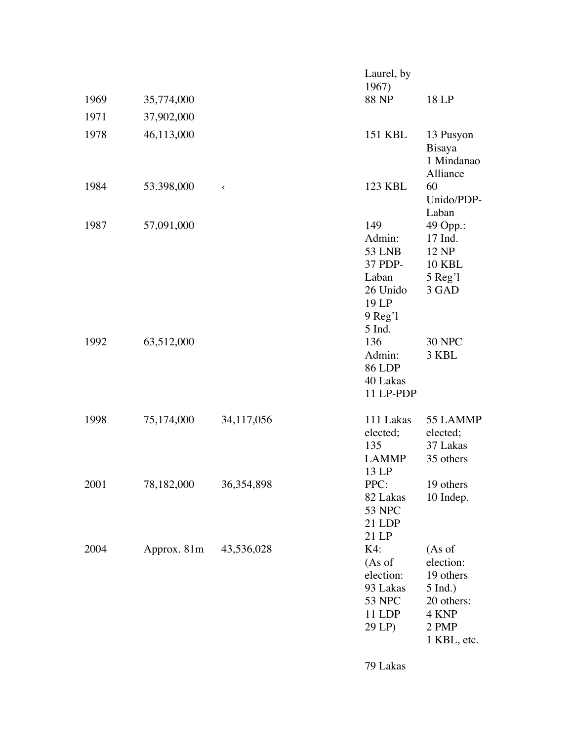|      |             |              | Laurel, by<br>1967)                                                                          |                                                                                              |
|------|-------------|--------------|----------------------------------------------------------------------------------------------|----------------------------------------------------------------------------------------------|
| 1969 | 35,774,000  |              | <b>88 NP</b>                                                                                 | 18 LP                                                                                        |
| 1971 | 37,902,000  |              |                                                                                              |                                                                                              |
| 1978 | 46,113,000  |              | <b>151 KBL</b>                                                                               | 13 Pusyon<br><b>Bisaya</b><br>1 Mindanao<br>Alliance                                         |
| 1984 | 53.398,000  | $\checkmark$ | 123 KBL                                                                                      | 60<br>Unido/PDP-<br>Laban                                                                    |
| 1987 | 57,091,000  |              | 149<br>Admin:<br><b>53 LNB</b><br>37 PDP-<br>Laban<br>26 Unido<br>19 LP<br>9 Reg'l<br>5 Ind. | 49 Opp.:<br>17 Ind.<br>12 NP<br><b>10 KBL</b><br>5 Reg'l<br>3 GAD                            |
| 1992 | 63,512,000  |              | 136<br>Admin:<br><b>86 LDP</b><br>40 Lakas<br>11 LP-PDP                                      | <b>30 NPC</b><br>3 KBL                                                                       |
| 1998 | 75,174,000  | 34,117,056   | 111 Lakas<br>elected;<br>135<br><b>LAMMP</b><br>13 LP                                        | 55 LAMMP<br>elected;<br>37 Lakas<br>35 others                                                |
| 2001 | 78,182,000  | 36,354,898   | PPC:<br>82 Lakas<br>53 NPC<br>21 LDP<br>21 LP                                                | 19 others<br>10 Indep.                                                                       |
| 2004 | Approx. 81m | 43,536,028   | K4:<br>(As of<br>election:<br>93 Lakas<br>53 NPC<br>11 LDP<br>29 LP)                         | (As of<br>election:<br>19 others<br>$5$ Ind.)<br>20 others:<br>4 KNP<br>2 PMP<br>1 KBL, etc. |

79 Lakas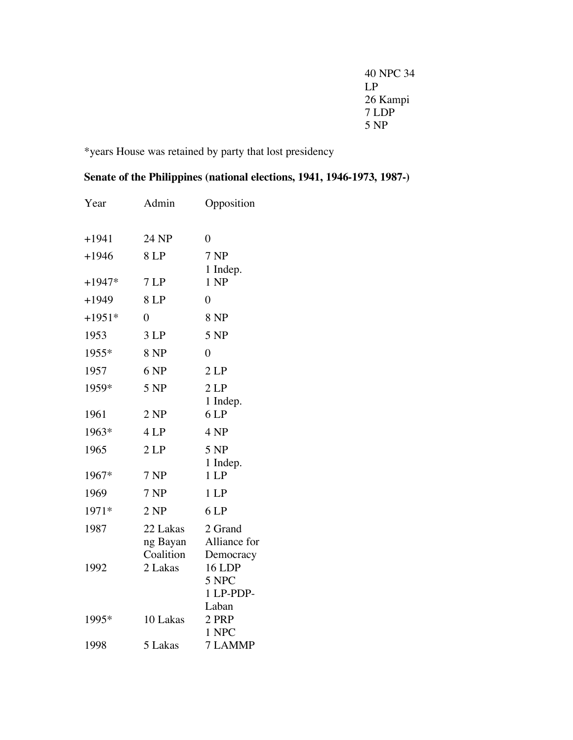| 40 NPC 34 |
|-----------|
| L.P       |
| 26 Kampi  |
| 7 LDP     |
| 5 NP      |

\*years House was retained by party that lost presidency

## **Senate of the Philippines (national elections, 1941, 1946-1973, 1987-)**

| Year     | Admin                             | Opposition                           |
|----------|-----------------------------------|--------------------------------------|
| $+1941$  | 24 NP                             | $\overline{0}$                       |
| $+1946$  | 8 LP                              | <b>7 NP</b><br>1 Indep.              |
| $+1947*$ | 7 LP                              | 1 NP                                 |
| $+1949$  | 8 LP                              | $\overline{0}$                       |
| $+1951*$ | $\overline{0}$                    | 8 NP                                 |
| 1953     | 3 <sub>LP</sub>                   | 5 NP                                 |
| 1955*    | 8 NP                              | $\overline{0}$                       |
| 1957     | 6 NP                              | 2LP                                  |
| 1959*    | 5 NP                              | 2LP                                  |
| 1961     | 2 NP                              | 1 Indep.<br>6 LP                     |
| 1963*    | 4 LP                              | 4 NP                                 |
| 1965     | 2LP                               | 5 NP                                 |
| 1967*    | 7 NP                              | 1 Indep.<br>1LP                      |
| 1969     | <b>7 NP</b>                       | 1LP                                  |
| 1971*    | 2 NP                              | 6 LP                                 |
| 1987     | 22 Lakas<br>ng Bayan<br>Coalition | 2 Grand<br>Alliance for<br>Democracy |
| 1992     | 2 Lakas                           | <b>16 LDP</b><br>5 NPC<br>1 LP-PDP-  |
| 1995*    | 10 Lakas                          | Laban<br>2 PRP<br>1 NPC              |
| 1998     | 5 Lakas                           | <b>7 LAMMP</b>                       |